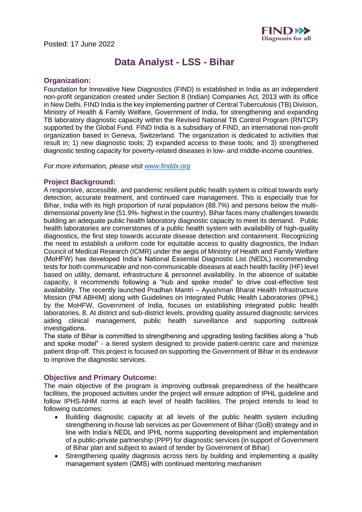

# **Data Analyst - LSS - Bihar**

## **Organization:**

Foundation for Innovative New Diagnostics (FIND) is established in India as an independent non-profit organization created under Section 8 (Indian) Companies Act, 2013 with its office in New Delhi. FIND India is the key implementing partner of Central Tuberculosis (TB) Division, Ministry of Health & Family Welfare, Government of India, for strengthening and expanding TB laboratory diagnostic capacity within the Revised National TB Control Program (RNTCP) supported by the Global Fund. FIND India is a subsidiary of FIND, an international non-profit organization based in Geneva, Switzerland. The organization is dedicated to activities that result in; 1) new diagnostic tools; 2) expanded access to these tools; and 3) strengthened diagnostic testing capacity for poverty-related diseases in low- and middle-income countries. 

*For more information, please visit [www.finddx.org](http://www.finddx.org/)*

## **Project Background:**

A responsive, accessible, and pandemic resilient public health system is critical towards early detection, accurate treatment, and continued care management. This is especially true for Bihar, India with its high proportion of rural population (88.7%) and persons below the multidimensional poverty line (51.9%- highest in the country). Bihar faces many challenges towards building an adequate public health laboratory diagnostic capacity to meet its demand. Public health laboratories are cornerstones of a public health system with availability of high-quality diagnostics, the first step towards accurate disease detection and containment. Recognizing the need to establish a uniform code for equitable access to quality diagnostics, the Indian Council of Medical Research (ICMR) under the aegis of Ministry of Health and Family Welfare (MoHFW) has developed India's National Essential Diagnostic List (NEDL) recommending tests for both communicable and non-communicable diseases at each health facility (HF) level based on utility, demand, infrastructure & personnel availability. In the absence of suitable capacity, it recommends following a "hub and spoke model" to drive cost-effective test availability. The recently launched Pradhan Mantri – Ayushman Bharat Health Infrastructure Mission (PM ABHIM) along with Guidelines on Integrated Public Health Laboratories (IPHL) by the MoHFW, Government of India, focuses on establishing integrated public health laboratories. 8. At district and sub-district levels, providing quality assured diagnostic services aiding clinical management, public health surveillance and supporting outbreak investigations. 

The state of Bihar is committed to strengthening and upgrading testing facilities along a "hub and spoke model" - a tiered system designed to provide patient-centric care and minimize patient drop-off. This project is focused on supporting the Government of Bihar in its endeavor to improve the diagnostic services.

## **Objective and Primary Outcome:**

The main objective of the program is improving outbreak preparedness of the healthcare facilities, the proposed activities under the project will ensure adoption of IPHL guideline and follow IPHS-NHM norms at each level of health facilities. The project intends to lead to following outcomes:

- Building diagnostic capacity at all levels of the public health system including strengthening in-house lab services as per Government of Bihar (GoB) strategy and in line with India's NEDL and IPHL norms supporting development and implementation of a public-private partnership (PPP) for diagnostic services (in support of Government of Bihar plan and subject to award of tender by Government of Bihar)
- Strengthening quality diagnosis across tiers by building and implementing a quality management system (QMS) with continued mentoring mechanism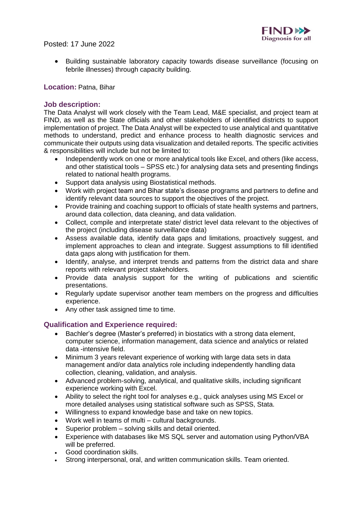

Posted: 17 June 2022

• Building sustainable laboratory capacity towards disease surveillance (focusing on febrile illnesses) through capacity building.

## **Location:** Patna, Bihar

## **Job description:**

The Data Analyst will work closely with the Team Lead, M&E specialist, and project team at FIND, as well as the State officials and other stakeholders of identified districts to support implementation of project. The Data Analyst will be expected to use analytical and quantitative methods to understand, predict and enhance process to health diagnostic services and communicate their outputs using data visualization and detailed reports. The specific activities & responsibilities will include but not be limited to:

- Independently work on one or more analytical tools like Excel, and others (like access, and other statistical tools – SPSS etc.) for analysing data sets and presenting findings related to national health programs.
- Support data analysis using Biostatistical methods.
- Work with project team and Bihar state's disease programs and partners to define and identify relevant data sources to support the objectives of the project.
- Provide training and coaching support to officials of state health systems and partners, around data collection, data cleaning, and data validation.
- Collect, compile and interpretate state/ district level data relevant to the objectives of the project (including disease surveillance data)
- Assess available data, identify data gaps and limitations, proactively suggest, and implement approaches to clean and integrate. Suggest assumptions to fill identified data gaps along with justification for them.
- Identify, analyse, and interpret trends and patterns from the district data and share reports with relevant project stakeholders.
- Provide data analysis support for the writing of publications and scientific presentations.
- Regularly update supervisor another team members on the progress and difficulties experience.
- Any other task assigned time to time.

# **Qualification and Experience required:**

- Bachler's degree (Master's preferred) in biostatics with a strong data element, computer science, information management, data science and analytics or related data -intensive field.
- Minimum 3 years relevant experience of working with large data sets in data management and/or data analytics role including independently handling data collection, cleaning, validation, and analysis.
- Advanced problem-solving, analytical, and qualitative skills, including significant experience working with Excel.
- Ability to select the right tool for analyses e.g., quick analyses using MS Excel or more detailed analyses using statistical software such as SPSS, Stata.
- Willingness to expand knowledge base and take on new topics.
- Work well in teams of multi cultural backgrounds.
- Superior problem solving skills and detail oriented.
- Experience with databases like MS SQL server and automation using Python/VBA will be preferred.
- Good coordination skills.
- Strong interpersonal, oral, and written communication skills. Team oriented.